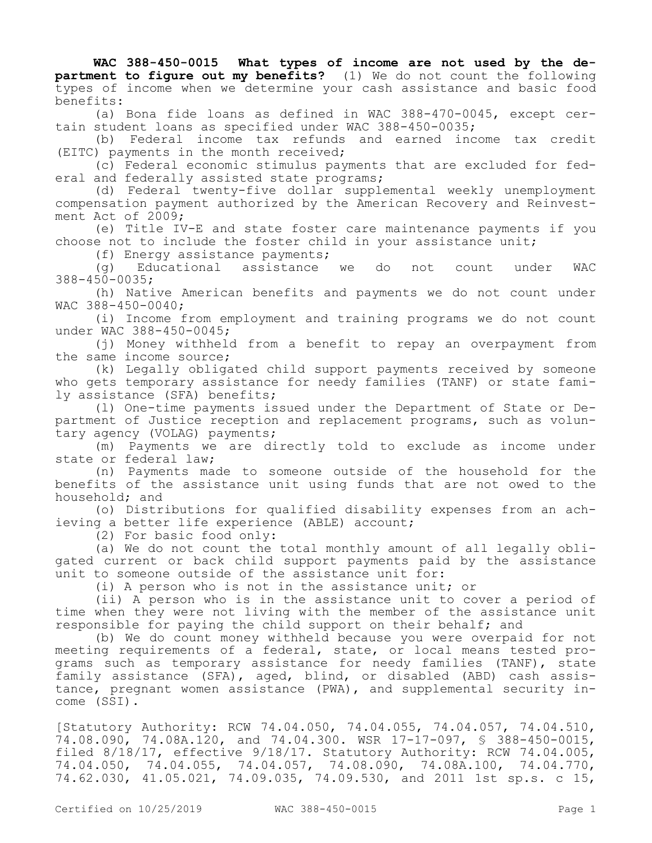**WAC 388-450-0015 What types of income are not used by the department to figure out my benefits?** (1) We do not count the following types of income when we determine your cash assistance and basic food benefits:

(a) Bona fide loans as defined in WAC 388-470-0045, except certain student loans as specified under WAC 388-450-0035;

(b) Federal income tax refunds and earned income tax credit (EITC) payments in the month received;

(c) Federal economic stimulus payments that are excluded for federal and federally assisted state programs;

(d) Federal twenty-five dollar supplemental weekly unemployment compensation payment authorized by the American Recovery and Reinvestment Act of 2009;

(e) Title IV-E and state foster care maintenance payments if you choose not to include the foster child in your assistance unit;

(f) Energy assistance payments;

(g) Educational assistance we do not count under WAC 388-450-0035;

(h) Native American benefits and payments we do not count under WAC 388-450-0040;

(i) Income from employment and training programs we do not count under WAC 388-450-0045;

(j) Money withheld from a benefit to repay an overpayment from the same income source;

(k) Legally obligated child support payments received by someone who gets temporary assistance for needy families (TANF) or state family assistance (SFA) benefits;

(l) One-time payments issued under the Department of State or Department of Justice reception and replacement programs, such as voluntary agency (VOLAG) payments;

(m) Payments we are directly told to exclude as income under state or federal law;

(n) Payments made to someone outside of the household for the benefits of the assistance unit using funds that are not owed to the household; and

(o) Distributions for qualified disability expenses from an achieving a better life experience (ABLE) account;

(2) For basic food only:

(a) We do not count the total monthly amount of all legally obligated current or back child support payments paid by the assistance unit to someone outside of the assistance unit for:

(i) A person who is not in the assistance unit; or

(ii) A person who is in the assistance unit to cover a period of time when they were not living with the member of the assistance unit responsible for paying the child support on their behalf; and

(b) We do count money withheld because you were overpaid for not meeting requirements of a federal, state, or local means tested programs such as temporary assistance for needy families (TANF), state family assistance (SFA), aged, blind, or disabled (ABD) cash assistance, pregnant women assistance (PWA), and supplemental security income (SSI).

[Statutory Authority: RCW 74.04.050, 74.04.055, 74.04.057, 74.04.510, 74.08.090, 74.08A.120, and 74.04.300. WSR 17-17-097, § 388-450-0015, filed 8/18/17, effective 9/18/17. Statutory Authority: RCW 74.04.005, 74.04.050, 74.04.055, 74.04.057, 74.08.090, 74.08A.100, 74.04.770, 74.62.030, 41.05.021, 74.09.035, 74.09.530, and 2011 1st sp.s. c 15,